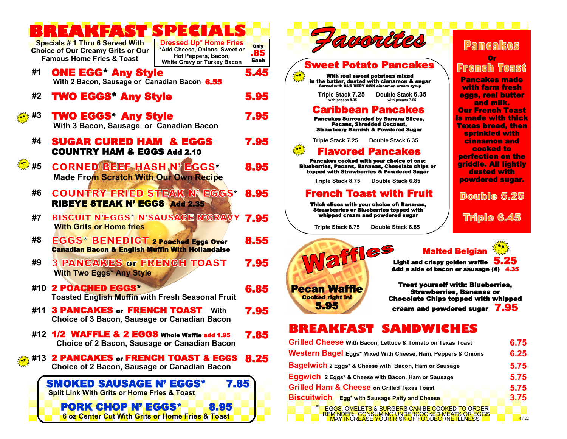|        | ⊐<br>(15.11)<br>⋯                                                                                                   | ⊐<br>$\mathcal{A}$                                                                                                          |                     |                                                                                                                                                                             |                                                                                             |
|--------|---------------------------------------------------------------------------------------------------------------------|-----------------------------------------------------------------------------------------------------------------------------|---------------------|-----------------------------------------------------------------------------------------------------------------------------------------------------------------------------|---------------------------------------------------------------------------------------------|
|        | Specials # 1 Thru 6 Served With<br><b>Choice of Our Creamy Grits or Our</b><br><b>Famous Home Fries &amp; Toast</b> | <b>Dressed Up* Home Fries</b><br>*Add Cheese, Onions, Sweet or<br>Hot Peppers, Bacon,<br><b>White Gravy or Turkey Bacon</b> | Only<br>.85<br>Each | avorities<br><b>Sweet Potato Pancakes</b>                                                                                                                                   | Pancakes<br>Or                                                                              |
| #1     | <b>ONE EGG Any Style</b><br>With 2 Bacon, Sausage or Canadian Bacon 6.55                                            |                                                                                                                             | 5.45                | With real sweet potatoes mixed<br>In the batter, dusted with cinnamon & sugar<br>Served with OUR VERY OWN cinnamon cream syrup                                              | <b>French Toast</b><br><b>Pancakes made</b><br>with farm fresh                              |
| #2     | <b>TWO EGGS* Any Style</b>                                                                                          |                                                                                                                             | 5.95                | <b>Triple Stack 7.25</b><br>Double Stack 6.35<br>with pecans 7.65<br>with pecans 8.95                                                                                       | eggs, real butter<br>and milk.                                                              |
| 巻 #3   | <b>TWO EGGS* Any Style</b><br>With 3 Bacon, Sausage or Canadian Bacon                                               |                                                                                                                             | 7.95                | <b>Caribbean Pancakes</b><br><b>Pancakes Surrounded by Banana Slices,</b><br>Pecans, Shredded Coconut,<br><b>Strawberry Garnish &amp; Powdered Sugar</b>                    | <b>Our French Toast</b><br>is made with thick<br><b>Texas bread, then</b><br>sprinkled with |
| #4     | <b>SUGAR CURED HAM &amp; EGGS</b>                                                                                   |                                                                                                                             | 7.95                | Double Stack 6.35<br>Triple Stack 7.25                                                                                                                                      | <b>cinnamon</b> and                                                                         |
|        | <b>COUNTRY HAM &amp; EGGS Add 2.10</b>                                                                              |                                                                                                                             |                     | ₹ <mark>*</mark><br><b>Flavored Pancakes</b>                                                                                                                                | cooked to<br>perfection on the                                                              |
| ैं. #5 | <b>CORNED BEEF HASH N' EGGS*</b>                                                                                    |                                                                                                                             | 8.95                | Pancakes cooked with your choice of one:<br><b>Blueberries, Pecans, Bananas, Chocolate chips or</b><br>topped with Strawberries & Powdered Sugar                            | griddle. All lightly<br>dusted with                                                         |
|        | <b>Made From Scratch With Our Own Recipe</b>                                                                        |                                                                                                                             |                     | Triple Stack 8.75<br>Double Stack 6.85                                                                                                                                      | powdered sugar.                                                                             |
| #6     | <b>COUNTRY FRIED STEAK N' EGGS*</b>                                                                                 |                                                                                                                             | 8.95                | <b>French Toast with Fruit</b>                                                                                                                                              | Double 5.25                                                                                 |
|        | <b>RIBEYE STEAK N' EGGS Add 2.35</b>                                                                                |                                                                                                                             |                     | Thick slices with your choice of: Bananas,<br><b>Strawberries or Blueberries topped with</b>                                                                                |                                                                                             |
| #7     | <b>BISCUIT N'EGGS* N'SAUSAGE N'GRAVY</b>                                                                            |                                                                                                                             | 7.95                | whipped cream and powdered sugar                                                                                                                                            | <b>Triple 6.45</b>                                                                          |
|        | <b>With Grits or Home fries</b>                                                                                     |                                                                                                                             |                     | Triple Stack 8.75<br>Double Stack 6.85                                                                                                                                      |                                                                                             |
| #8     | <b>EGGS* BENEDICT 2 Poached Eggs Over</b><br><b>Canadian Bacon &amp; English Muffin With Hollandaise</b>            |                                                                                                                             | 8.55                | affles<br><b>Malted Belgian</b>                                                                                                                                             |                                                                                             |
| #9     | <b>3 PANCAKES or FRENCH TOAST</b><br><b>With Two Eggs* Any Style</b>                                                |                                                                                                                             | 7.95                | <b>Light and crispy golden waffle</b><br>Add a side of bacon or sausage (4) 4.35                                                                                            | 5.25                                                                                        |
|        | #10 2 POACHED EGGS*<br><b>Toasted English Muffin with Fresh Seasonal Fruit</b>                                      |                                                                                                                             | 6.85                | <b>Treat yourself with: Blueberries,</b><br><b>Pecan Waffle</b><br><b>Strawberries, Bananas or</b><br><b>Cooked right in!</b><br><b>Chocolate Chips topped with whipped</b> |                                                                                             |
|        | #11 3 PANCAKES or FRENCH TOAST<br>Choice of 3 Bacon, Sausage or Canadian Bacon                                      | With                                                                                                                        | 7.95                | 5.95<br>cream and powdered sugar 7.95                                                                                                                                       |                                                                                             |
|        | #12 1/2 WAFFLE & 2 EGGS Whole Waffle add 1.95                                                                       |                                                                                                                             | 7.85                | BREAKFAST<br>SAI<br>ND X                                                                                                                                                    |                                                                                             |
|        | Choice of 2 Bacon, Sausage or Canadian Bacon                                                                        |                                                                                                                             |                     | <b>Grilled Cheese With Bacon, Lettuce &amp; Tomato on Texas Toast</b>                                                                                                       | 6.75                                                                                        |
|        | #13 2 PANCAKES or FRENCH TOAST & EGGS 8.25                                                                          |                                                                                                                             |                     | Western Bagel Eggs* Mixed With Cheese, Ham, Peppers & Onions                                                                                                                | 6.25                                                                                        |
|        | Choice of 2 Bacon, Sausage or Canadian Bacon                                                                        |                                                                                                                             |                     | <b>Bagelwich</b> 2 Eggs* & Cheese with Bacon, Ham or Sausage<br>Eggwich 2 Eggs* & Cheese with Bacon, Ham or Sausage                                                         | 5.75<br>5.75                                                                                |
|        | SMOKED SAUSAGE N' EGGS*                                                                                             | 7.85                                                                                                                        |                     | <b>Grilled Ham &amp; Cheese on Grilled Texas Toast</b>                                                                                                                      | 5.75                                                                                        |
|        | <b>Split Link With Grits or Home Fries &amp; Toast</b>                                                              |                                                                                                                             |                     | <b>Biscuitwich</b> Egg* with Sausage Patty and Cheese                                                                                                                       | 3.75                                                                                        |
|        | <b>PORK CHOP N' EGGS*</b><br>6 oz Center Cut With Grits or Home Fries & Toast                                       | 8.95                                                                                                                        |                     | EGGS, OMELETS & BURGERS CAN BE COOKED TO ORDER<br>REMINDER: CONSUMING UNDERCOOKED MEATS OR EGGS<br>MAY INCREASE YOUR RISK OF FOODBORNE ILLNESS                              | 4/22                                                                                        |



## **BREAKFAST SANDWICHES**

| Grilled Cheese With Bacon, Lettuce & Tomato on Texas Toast                                      |      |  |  |  |
|-------------------------------------------------------------------------------------------------|------|--|--|--|
| Western Bagel Eggs* Mixed With Cheese, Ham, Peppers & Onions                                    |      |  |  |  |
| Bagelwich 2 Eggs* & Cheese with Bacon, Ham or Sausage                                           |      |  |  |  |
| Eggwich 2 Eggs* & Cheese with Bacon, Ham or Sausage                                             |      |  |  |  |
| <b>Grilled Ham &amp; Cheese on Grilled Texas Toast</b>                                          |      |  |  |  |
| <b>Biscuitwich</b> Egg <sup>*</sup> with Sausage Patty and Cheese                               | 3.75 |  |  |  |
| EGGS, OMELETS & BURGERS CAN BE COOKED TO ORDER<br>REMINDER: CONSUMING UNDERCOOKED MEATS OR EGGS |      |  |  |  |